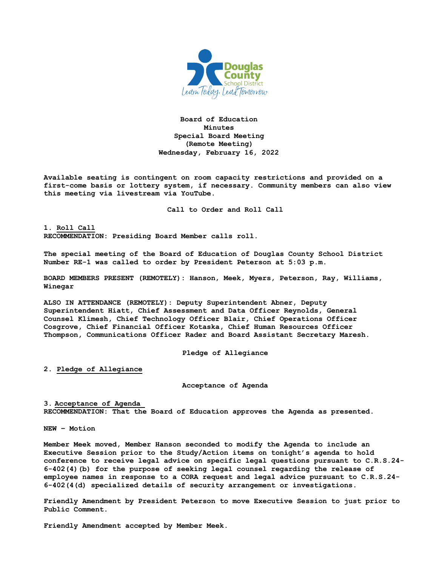

**Board of Education Minutes Special Board Meeting (Remote Meeting) Wednesday, February 16, 2022**

**Available seating is contingent on room capacity restrictions and provided on a first-come basis or lottery system, if necessary. Community members can also view this meeting via livestream via YouTube.**

**Call to Order and Roll Call**

**1. Roll Call RECOMMENDATION: Presiding Board Member calls roll.** 

**The special meeting of the Board of Education of Douglas County School District Number RE-1 was called to order by President Peterson at 5:03 p.m.**

**BOARD MEMBERS PRESENT (REMOTELY): Hanson, Meek, Myers, Peterson, Ray, Williams, Winegar**

**ALSO IN ATTENDANCE (REMOTELY): Deputy Superintendent Abner, Deputy Superintendent Hiatt, Chief Assessment and Data Officer Reynolds, General Counsel Klimesh, Chief Technology Officer Blair, Chief Operations Officer Cosgrove, Chief Financial Officer Kotaska, Chief Human Resources Officer Thompson, Communications Officer Rader and Board Assistant Secretary Maresh.**

**Pledge of Allegiance**

**2. Pledge of Allegiance**

**Acceptance of Agenda**

**3. Acceptance of Agenda RECOMMENDATION: That the Board of Education approves the Agenda as presented.** 

**NEW – Motion**

**Member Meek moved, Member Hanson seconded to modify the Agenda to include an Executive Session prior to the Study/Action items on tonight's agenda to hold conference to receive legal advice on specific legal questions pursuant to C.R.S.24- 6-402(4)(b) for the purpose of seeking legal counsel regarding the release of employee names in response to a CORA request and legal advice pursuant to C.R.S.24- 6-402(4(d) specialized details of security arrangement or investigations.**

**Friendly Amendment by President Peterson to move Executive Session to just prior to Public Comment.**

**Friendly Amendment accepted by Member Meek.**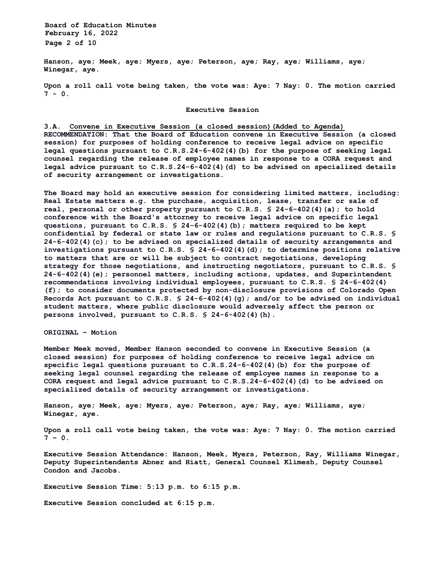**Board of Education Minutes February 16, 2022 Page 2 of 10** 

**Hanson, aye; Meek, aye; Myers, aye; Peterson, aye; Ray, aye; Williams, aye; Winegar, aye.** 

**Upon a roll call vote being taken, the vote was: Aye: 7 Nay: 0. The motion carried 7 - 0.** 

## **Executive Session**

#### **3.A. Convene in Executive Session (a closed session)(Added to Agenda)**

**RECOMMENDATION: That the Board of Education convene in Executive Session (a closed session) for purposes of holding conference to receive legal advice on specific legal questions pursuant to C.R.S.24-6-402(4)(b) for the purpose of seeking legal counsel regarding the release of employee names in response to a CORA request and legal advice pursuant to C.R.S.24-6-402(4)(d) to be advised on specialized details of security arrangement or investigations.**

**The Board may hold an executive session for considering limited matters, including: Real Estate matters e.g. the purchase, acquisition, lease, transfer or sale of real, personal or other property pursuant to C.R.S. § 24-6-402(4)(a); to hold conference with the Board's attorney to receive legal advice on specific legal questions, pursuant to C.R.S. § 24-6-402(4)(b); matters required to be kept confidential by federal or state law or rules and regulations pursuant to C.R.S. § 24-6-402(4)(c); to be advised on specialized details of security arrangements and investigations pursuant to C.R.S. § 24-6-402(4)(d); to determine positions relative to matters that are or will be subject to contract negotiations, developing strategy for those negotiations, and instructing negotiators, pursuant to C.R.S. § 24-6-402(4)(e); personnel matters, including actions, updates, and Superintendent recommendations involving individual employees, pursuant to C.R.S. § 24-6-402(4) (f); to consider documents protected by non-disclosure provisions of Colorado Open Records Act pursuant to C.R.S. § 24-6-402(4)(g); and/or to be advised on individual student matters, where public disclosure would adversely affect the person or persons involved, pursuant to C.R.S. § 24-6-402(4)(h).** 

### **ORIGINAL – Motion**

**Member Meek moved, Member Hanson seconded to convene in Executive Session (a closed session) for purposes of holding conference to receive legal advice on specific legal questions pursuant to C.R.S.24-6-402(4)(b) for the purpose of seeking legal counsel regarding the release of employee names in response to a CORA request and legal advice pursuant to C.R.S.24-6-402(4)(d) to be advised on specialized details of security arrangement or investigations.** 

**Hanson, aye; Meek, aye; Myers, aye; Peterson, aye; Ray, aye; Williams, aye; Winegar, aye.** 

**Upon a roll call vote being taken, the vote was: Aye: 7 Nay: 0. The motion carried**   $7 - 0.$ 

**Executive Session Attendance: Hanson, Meek, Myers, Peterson, Ray, Williams Winegar, Deputy Superintendents Abner and Hiatt, General Counsel Klimesh, Deputy Counsel Condon and Jacobs.** 

**Executive Session Time: 5:13 p.m. to 6:15 p.m.** 

**Executive Session concluded at 6:15 p.m.**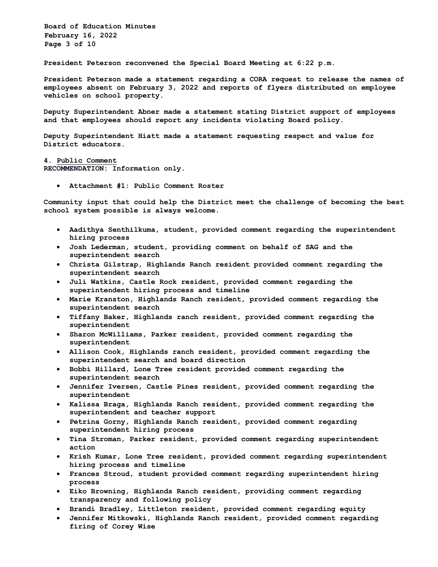**Board of Education Minutes February 16, 2022 Page 3 of 10**

**President Peterson reconvened the Special Board Meeting at 6:22 p.m.**

**President Peterson made a statement regarding a CORA request to release the names of employees absent on February 3, 2022 and reports of flyers distributed on employee vehicles on school property.**

**Deputy Superintendent Abner made a statement stating District support of employees and that employees should report any incidents violating Board policy.** 

**Deputy Superintendent Hiatt made a statement requesting respect and value for District educators.**

**4. Public Comment**

**RECOMMENDATION: Information only.**

• **Attachment #1: Public Comment Roster**

**Community input that could help the District meet the challenge of becoming the best school system possible is always welcome.**

- **Aadithya Senthilkuma, student, provided comment regarding the superintendent hiring process**
- **Josh Lederman, student, providing comment on behalf of SAG and the superintendent search**
- **Christa Gilstrap, Highlands Ranch resident provided comment regarding the superintendent search**
- **Juli Watkins, Castle Rock resident, provided comment regarding the superintendent hiring process and timeline**
- **Marie Kranston, Highlands Ranch resident, provided comment regarding the superintendent search**
- **Tiffany Baker, Highlands ranch resident, provided comment regarding the superintendent**
- **Sharon McWilliams, Parker resident, provided comment regarding the superintendent**
- **Allison Cook, Highlands ranch resident, provided comment regarding the superintendent search and board direction**
- **Bobbi Hillard, Lone Tree resident provided comment regarding the superintendent search**
- **Jennifer Iversen, Castle Pines resident, provided comment regarding the superintendent**
- **Kalissa Braga, Highlands Ranch resident, provided comment regarding the superintendent and teacher support**
- **Petrina Gorny, Highlands Ranch resident, provided comment regarding superintendent hiring process**
- **Tina Stroman, Parker resident, provided comment regarding superintendent action**
- **Krish Kumar, Lone Tree resident, provided comment regarding superintendent hiring process and timeline**
- **Frances Stroud, student provided comment regarding superintendent hiring process**
- **Eiko Browning, Highlands Ranch resident, providing comment regarding transparency and following policy**
- **Brandi Bradley, Littleton resident, provided comment regarding equity**
- **Jennifer Mitkowski, Highlands Ranch resident, provided comment regarding firing of Corey Wise**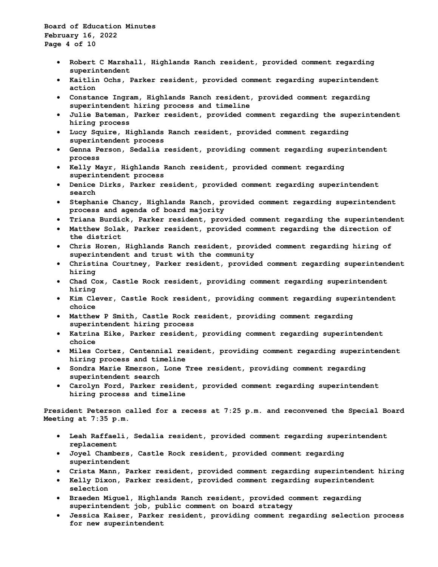**Board of Education Minutes February 16, 2022 Page 4 of 10**

- **Robert C Marshall, Highlands Ranch resident, provided comment regarding superintendent**
- **Kaitlin Ochs, Parker resident, provided comment regarding superintendent action**
- **Constance Ingram, Highlands Ranch resident, provided comment regarding superintendent hiring process and timeline**
- **Julie Bateman, Parker resident, provided comment regarding the superintendent hiring process**
- **Lucy Squire, Highlands Ranch resident, provided comment regarding superintendent process**
- **Genna Person, Sedalia resident, providing comment regarding superintendent process**
- **Kelly Mayr, Highlands Ranch resident, provided comment regarding superintendent process**
- **Denice Dirks, Parker resident, provided comment regarding superintendent search**
- **Stephanie Chancy, Highlands Ranch, provided comment regarding superintendent process and agenda of board majority**
- **Triana Burdick, Parker resident, provided comment regarding the superintendent**
- **Matthew Solak, Parker resident, provided comment regarding the direction of the district**
- **Chris Horen, Highlands Ranch resident, provided comment regarding hiring of superintendent and trust with the community**
- **Christina Courtney, Parker resident, provided comment regarding superintendent hiring**
- **Chad Cox, Castle Rock resident, providing comment regarding superintendent hiring**
- **Kim Clever, Castle Rock resident, providing comment regarding superintendent choice**
- **Matthew P Smith, Castle Rock resident, providing comment regarding superintendent hiring process**
- **Katrina Eike, Parker resident, providing comment regarding superintendent choice**
- **Miles Cortez, Centennial resident, providing comment regarding superintendent hiring process and timeline**
- **Sondra Marie Emerson, Lone Tree resident, providing comment regarding superintendent search**
- **Carolyn Ford, Parker resident, provided comment regarding superintendent hiring process and timeline**

**President Peterson called for a recess at 7:25 p.m. and reconvened the Special Board Meeting at 7:35 p.m.**

- **Leah Raffaeli, Sedalia resident, provided comment regarding superintendent replacement**
- **Joyel Chambers, Castle Rock resident, provided comment regarding superintendent**
- **Crista Mann, Parker resident, provided comment regarding superintendent hiring**
- **Kelly Dixon, Parker resident, provided comment regarding superintendent selection**
- **Braeden Miguel, Highlands Ranch resident, provided comment regarding superintendent job, public comment on board strategy**
- **Jessica Kaiser, Parker resident, providing comment regarding selection process for new superintendent**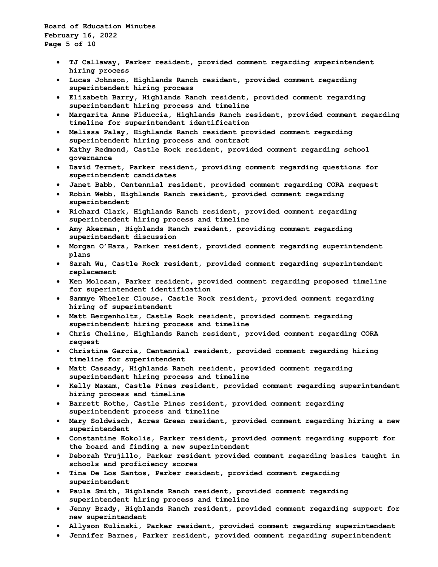**Board of Education Minutes February 16, 2022 Page 5 of 10**

- **TJ Callaway, Parker resident, provided comment regarding superintendent hiring process**
- **Lucas Johnson, Highlands Ranch resident, provided comment regarding superintendent hiring process**
- **Elizabeth Barry, Highlands Ranch resident, provided comment regarding superintendent hiring process and timeline**
- **Margarita Anne Fiduccia, Highlands Ranch resident, provided comment regarding timeline for superintendent identification**
- **Melissa Palay, Highlands Ranch resident provided comment regarding superintendent hiring process and contract**
- **Kathy Redmond, Castle Rock resident, provided comment regarding school governance**
- **David Ternet, Parker resident, providing comment regarding questions for superintendent candidates**
- **Janet Babb, Centennial resident, provided comment regarding CORA request**
- **Robin Webb, Highlands Ranch resident, provided comment regarding superintendent**
- **Richard Clark, Highlands Ranch resident, provided comment regarding superintendent hiring process and timeline**
- **Amy Akerman, Highlands Ranch resident, providing comment regarding superintendent discussion**
- **Morgan O'Hara, Parker resident, provided comment regarding superintendent plans**
- **Sarah Wu, Castle Rock resident, provided comment regarding superintendent replacement**
- **Ken Molcsan, Parker resident, provided comment regarding proposed timeline for superintendent identification**
- **Sammye Wheeler Clouse, Castle Rock resident, provided comment regarding hiring of superintendent**
- **Matt Bergenholtz, Castle Rock resident, provided comment regarding superintendent hiring process and timeline**
- **Chris Cheline, Highlands Ranch resident, provided comment regarding CORA request**
- **Christine Garcia, Centennial resident, provided comment regarding hiring timeline for superintendent**
- **Matt Cassady, Highlands Ranch resident, provided comment regarding superintendent hiring process and timeline**
- **Kelly Maxam, Castle Pines resident, provided comment regarding superintendent hiring process and timeline**
- **Barrett Rothe, Castle Pines resident, provided comment regarding superintendent process and timeline**
- **Mary Soldwisch, Acres Green resident, provided comment regarding hiring a new superintendent**
- **Constantine Kokolis, Parker resident, provided comment regarding support for the board and finding a new superintendent**
- **Deborah Trujillo, Parker resident provided comment regarding basics taught in schools and proficiency scores**
- **Tina De Los Santos, Parker resident, provided comment regarding superintendent**
- **Paula Smith, Highlands Ranch resident, provided comment regarding superintendent hiring process and timeline**
- **Jenny Brady, Highlands Ranch resident, provided comment regarding support for new superintendent**
- **Allyson Kulinski, Parker resident, provided comment regarding superintendent**
- **Jennifer Barnes, Parker resident, provided comment regarding superintendent**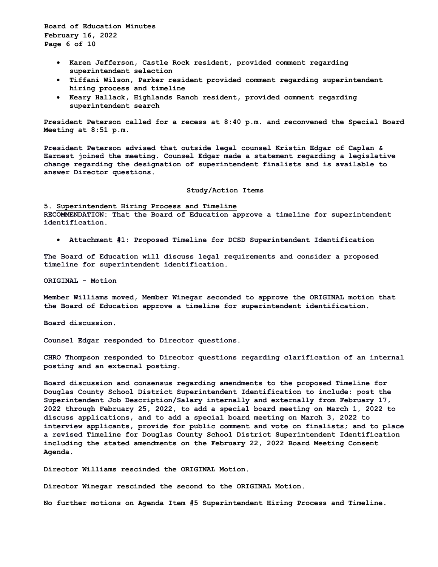**Board of Education Minutes February 16, 2022 Page 6 of 10**

- **Karen Jefferson, Castle Rock resident, provided comment regarding superintendent selection**
- **Tiffani Wilson, Parker resident provided comment regarding superintendent hiring process and timeline**
- **Keary Hallack, Highlands Ranch resident, provided comment regarding superintendent search**

**President Peterson called for a recess at 8:40 p.m. and reconvened the Special Board Meeting at 8:51 p.m.**

**President Peterson advised that outside legal counsel Kristin Edgar of Caplan & Earnest joined the meeting. Counsel Edgar made a statement regarding a legislative change regarding the designation of superintendent finalists and is available to answer Director questions.** 

### **Study/Action Items**

**5. Superintendent Hiring Process and Timeline RECOMMENDATION: That the Board of Education approve a timeline for superintendent identification.**

• **Attachment #1: Proposed Timeline for DCSD Superintendent Identification**

**The Board of Education will discuss legal requirements and consider a proposed timeline for superintendent identification.** 

**ORIGINAL - Motion** 

**Member Williams moved, Member Winegar seconded to approve the ORIGINAL motion that the Board of Education approve a timeline for superintendent identification.** 

**Board discussion.** 

**Counsel Edgar responded to Director questions.**

**CHRO Thompson responded to Director questions regarding clarification of an internal posting and an external posting.**

**Board discussion and consensus regarding amendments to the proposed Timeline for Douglas County School District Superintendent Identification to include: post the Superintendent Job Description/Salary internally and externally from February 17, 2022 through February 25, 2022, to add a special board meeting on March 1, 2022 to discuss applications, and to add a special board meeting on March 3, 2022 to interview applicants, provide for public comment and vote on finalists; and to place a revised Timeline for Douglas County School District Superintendent Identification including the stated amendments on the February 22, 2022 Board Meeting Consent Agenda.**

**Director Williams rescinded the ORIGINAL Motion.**

**Director Winegar rescinded the second to the ORIGINAL Motion.**

**No further motions on Agenda Item #5 Superintendent Hiring Process and Timeline.**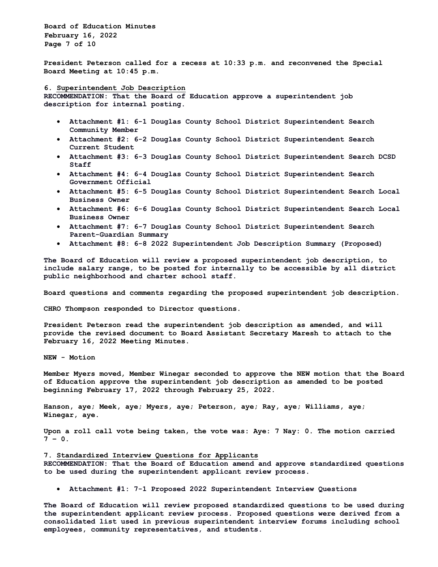**Board of Education Minutes February 16, 2022 Page 7 of 10**

**President Peterson called for a recess at 10:33 p.m. and reconvened the Special Board Meeting at 10:45 p.m.**

**6. Superintendent Job Description**

**RECOMMENDATION: That the Board of Education approve a superintendent job description for internal posting.**

- **Attachment #1: 6-1 Douglas County School District Superintendent Search Community Member**
- **Attachment #2: 6-2 Douglas County School District Superintendent Search Current Student**
- **Attachment #3: 6-3 Douglas County School District Superintendent Search DCSD Staff**
- **Attachment #4: 6-4 Douglas County School District Superintendent Search Government Official**
- **Attachment #5: 6-5 Douglas County School District Superintendent Search Local Business Owner**
- **Attachment #6: 6-6 Douglas County School District Superintendent Search Local Business Owner**
- **Attachment #7: 6-7 Douglas County School District Superintendent Search Parent-Guardian Summary**
- **Attachment #8: 6-8 2022 Superintendent Job Description Summary (Proposed)**

**The Board of Education will review a proposed superintendent job description, to include salary range, to be posted for internally to be accessible by all district public neighborhood and charter school staff.**

**Board questions and comments regarding the proposed superintendent job description.**

**CHRO Thompson responded to Director questions.**

**President Peterson read the superintendent job description as amended, and will provide the revised document to Board Assistant Secretary Maresh to attach to the February 16, 2022 Meeting Minutes.** 

**NEW - Motion**

**Member Myers moved, Member Winegar seconded to approve the NEW motion that the Board of Education approve the superintendent job description as amended to be posted beginning February 17, 2022 through February 25, 2022.**

**Hanson, aye; Meek, aye; Myers, aye; Peterson, aye; Ray, aye; Williams, aye; Winegar, aye.**

**Upon a roll call vote being taken, the vote was: Aye: 7 Nay: 0. The motion carried 7 – 0.**

- **7. Standardized Interview Questions for Applicants RECOMMENDATION: That the Board of Education amend and approve standardized questions to be used during the superintendent applicant review process.**
	- **Attachment #1: 7-1 Proposed 2022 Superintendent Interview Questions**

**The Board of Education will review proposed standardized questions to be used during the superintendent applicant review process. Proposed questions were derived from a consolidated list used in previous superintendent interview forums including school employees, community representatives, and students.**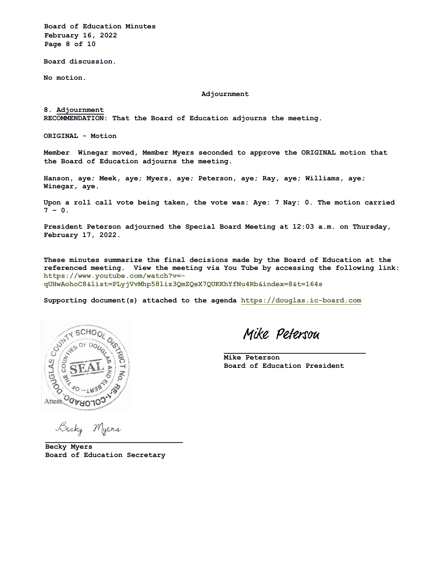**Board of Education Minutes February 16, 2022 Page 8 of 10**

**Board discussion.**

**No motion.** 

**Adjournment**

**8. Adjournment RECOMMENDATION: That the Board of Education adjourns the meeting.**

**ORIGINAL - Motion** 

**Member Winegar moved, Member Myers seconded to approve the ORIGINAL motion that the Board of Education adjourns the meeting.** 

**Hanson, aye; Meek, aye; Myers, aye; Peterson, aye; Ray, aye; Williams, aye; Winegar, aye.**

**Upon a roll call vote being taken, the vote was: Aye: 7 Nay: 0. The motion carried 7 – 0.**

**President Peterson adjourned the Special Board Meeting at 12:03 a.m. on Thursday, February 17, 2022.** 

**These minutes summarize the final decisions made by the Board of Education at the referenced meeting. View the meeting via You Tube by accessing the following link: https://www.youtube.com/watch?v= qUHwAohoC8&list=PLyjVvMhp58liz3QmZQeX7QUKKhYfNu4Rb&index=8&t=164s**

**Supporting document(s) attached to the agenda https://douglas.ic-board.com**



Mike Petersou

**Mike Peterson Board of Education President**

**\_\_\_\_\_\_\_\_\_\_\_\_\_\_\_\_\_\_\_\_\_\_\_\_\_\_\_\_\_\_\_\_\_**

Becky Myers **\_\_\_\_\_\_\_\_\_\_\_\_\_\_\_\_\_\_\_\_\_\_\_\_\_\_\_\_\_\_\_\_**

**Becky Myers Board of Education Secretary**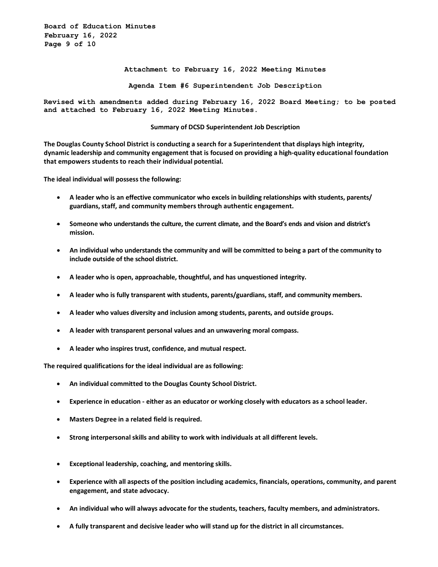**Board of Education Minutes February 16, 2022 Page 9 of 10**

**Attachment to February 16, 2022 Meeting Minutes**

**Agenda Item #6 Superintendent Job Description**

**Revised with amendments added during February 16, 2022 Board Meeting; to be posted and attached to February 16, 2022 Meeting Minutes.**

# **Summary of DCSD Superintendent Job Description**

**The Douglas County School District is conducting a search for a Superintendent that displays high integrity, dynamic leadership and community engagement that is focused on providing a high-quality educational foundation that empowers students to reach their individual potential.** 

**The ideal individual will possess the following:**

- **A leader who is an effective communicator who excels in building relationships with students, parents/ guardians,staff, and community members through authentic engagement.**
- **Someone who understands the culture, the current climate, and the Board's ends and vision and district's mission.**
- An individual who understands the community and will be committed to being a part of the community to **include outside of the school district.**
- **A leader who is open, approachable, thoughtful, and has unquestioned integrity.**
- **A leader who is fully transparent with students, parents/guardians, staff, and community members.**
- **A leader who values diversity and inclusion among students, parents, and outside groups.**
- **A leader with transparent personal values and an unwavering moral compass.**
- **A leader who inspires trust, confidence, and mutual respect.**

**The required qualifications for the ideal individual are as following:**

- **An individual committed to the Douglas County School District.**
- **Experience in education - either as an educator or working closely with educators as a school leader.**
- **Masters Degree in a related field is required.**
- **Strong interpersonal skills and ability to work with individuals at all different levels.**
- **Exceptional leadership, coaching, and mentoring skills.**
- **Experience with all aspects of the position including academics, financials, operations, community, and parent engagement, and state advocacy.**
- **An individual who will always advocate for the students, teachers, faculty members, and administrators.**
- **A fully transparent and decisive leader who will stand up for the district in all circumstances.**